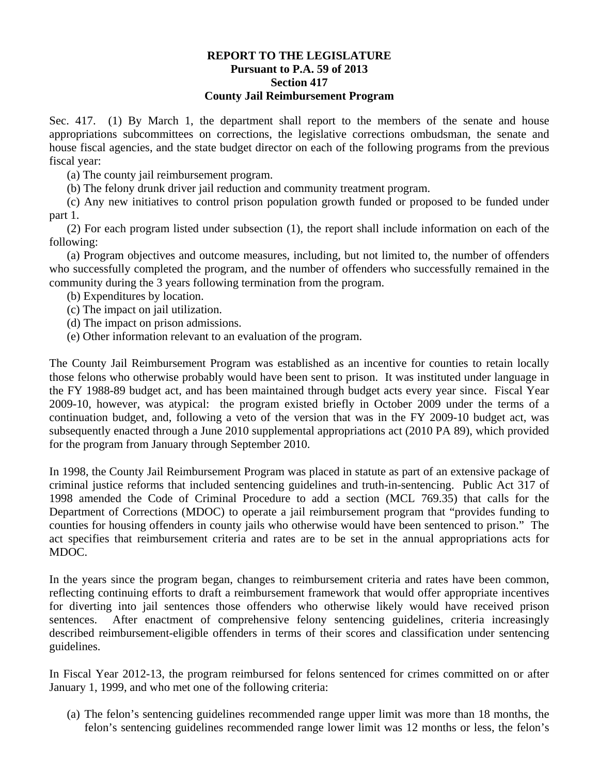## **REPORT TO THE LEGISLATURE Pursuant to P.A. 59 of 2013 Section 417 County Jail Reimbursement Program**

Sec. 417. (1) By March 1, the department shall report to the members of the senate and house appropriations subcommittees on corrections, the legislative corrections ombudsman, the senate and house fiscal agencies, and the state budget director on each of the following programs from the previous fiscal year:

(a) The county jail reimbursement program.

(b) The felony drunk driver jail reduction and community treatment program.

(c) Any new initiatives to control prison population growth funded or proposed to be funded under part 1.

(2) For each program listed under subsection (1), the report shall include information on each of the following:

(a) Program objectives and outcome measures, including, but not limited to, the number of offenders who successfully completed the program, and the number of offenders who successfully remained in the community during the 3 years following termination from the program.

(b) Expenditures by location.

(c) The impact on jail utilization.

(d) The impact on prison admissions.

(e) Other information relevant to an evaluation of the program.

The County Jail Reimbursement Program was established as an incentive for counties to retain locally those felons who otherwise probably would have been sent to prison. It was instituted under language in the FY 1988-89 budget act, and has been maintained through budget acts every year since. Fiscal Year 2009-10, however, was atypical: the program existed briefly in October 2009 under the terms of a continuation budget, and, following a veto of the version that was in the FY 2009-10 budget act, was subsequently enacted through a June 2010 supplemental appropriations act (2010 PA 89), which provided for the program from January through September 2010.

In 1998, the County Jail Reimbursement Program was placed in statute as part of an extensive package of criminal justice reforms that included sentencing guidelines and truth-in-sentencing. Public Act 317 of 1998 amended the Code of Criminal Procedure to add a section (MCL 769.35) that calls for the Department of Corrections (MDOC) to operate a jail reimbursement program that "provides funding to counties for housing offenders in county jails who otherwise would have been sentenced to prison." The act specifies that reimbursement criteria and rates are to be set in the annual appropriations acts for MDOC.

In the years since the program began, changes to reimbursement criteria and rates have been common, reflecting continuing efforts to draft a reimbursement framework that would offer appropriate incentives for diverting into jail sentences those offenders who otherwise likely would have received prison sentences. After enactment of comprehensive felony sentencing guidelines, criteria increasingly described reimbursement-eligible offenders in terms of their scores and classification under sentencing guidelines.

In Fiscal Year 2012-13, the program reimbursed for felons sentenced for crimes committed on or after January 1, 1999, and who met one of the following criteria:

(a) The felon's sentencing guidelines recommended range upper limit was more than 18 months, the felon's sentencing guidelines recommended range lower limit was 12 months or less, the felon's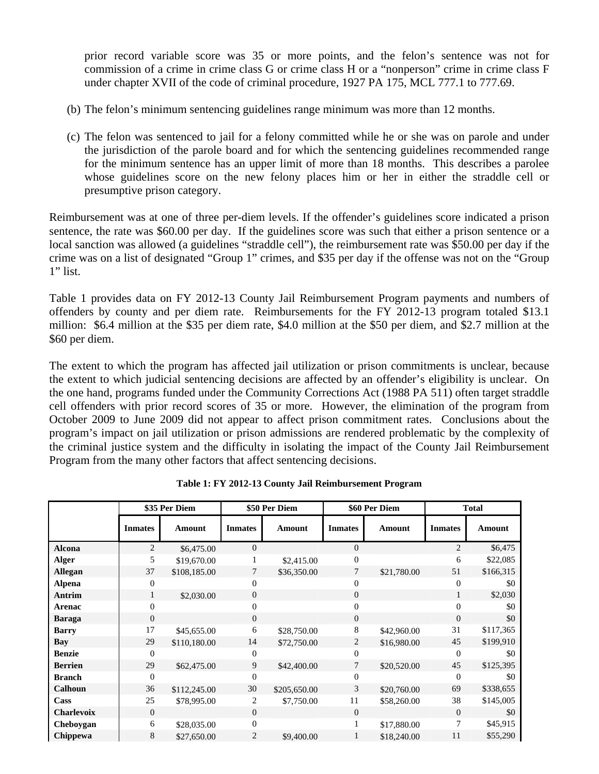prior record variable score was 35 or more points, and the felon's sentence was not for commission of a crime in crime class G or crime class H or a "nonperson" crime in crime class F under chapter XVII of the code of criminal procedure, 1927 PA 175, MCL 777.1 to 777.69.

- (b) The felon's minimum sentencing guidelines range minimum was more than 12 months.
- (c) The felon was sentenced to jail for a felony committed while he or she was on parole and under the jurisdiction of the parole board and for which the sentencing guidelines recommended range for the minimum sentence has an upper limit of more than 18 months. This describes a parolee whose guidelines score on the new felony places him or her in either the straddle cell or presumptive prison category.

Reimbursement was at one of three per-diem levels. If the offender's guidelines score indicated a prison sentence, the rate was \$60.00 per day. If the guidelines score was such that either a prison sentence or a local sanction was allowed (a guidelines "straddle cell"), the reimbursement rate was \$50.00 per day if the crime was on a list of designated "Group 1" crimes, and \$35 per day if the offense was not on the "Group 1" list.

Table 1 provides data on FY 2012-13 County Jail Reimbursement Program payments and numbers of offenders by county and per diem rate. Reimbursements for the FY 2012-13 program totaled \$13.1 million: \$6.4 million at the \$35 per diem rate, \$4.0 million at the \$50 per diem, and \$2.7 million at the \$60 per diem.

The extent to which the program has affected jail utilization or prison commitments is unclear, because the extent to which judicial sentencing decisions are affected by an offender's eligibility is unclear. On the one hand, programs funded under the Community Corrections Act (1988 PA 511) often target straddle cell offenders with prior record scores of 35 or more. However, the elimination of the program from October 2009 to June 2009 did not appear to affect prison commitment rates. Conclusions about the program's impact on jail utilization or prison admissions are rendered problematic by the complexity of the criminal justice system and the difficulty in isolating the impact of the County Jail Reimbursement Program from the many other factors that affect sentencing decisions.

|                   | \$35 Per Diem  |               | \$50 Per Diem  |               | \$60 Per Diem  |               | <b>Total</b>   |               |
|-------------------|----------------|---------------|----------------|---------------|----------------|---------------|----------------|---------------|
|                   | <b>Inmates</b> | <b>Amount</b> | <b>Inmates</b> | <b>Amount</b> | <b>Inmates</b> | <b>Amount</b> | <b>Inmates</b> | <b>Amount</b> |
| <b>Alcona</b>     | $\overline{2}$ | \$6,475.00    | $\mathbf{0}$   |               | $\overline{0}$ |               | $\overline{2}$ | \$6,475       |
| Alger             | 5              | \$19,670.00   |                | \$2,415.00    | $\mathbf{0}$   |               | 6              | \$22,085      |
| <b>Allegan</b>    | 37             | \$108,185.00  | 7              | \$36,350.00   |                | \$21,780.00   | 51             | \$166,315     |
| <b>Alpena</b>     | $\overline{0}$ |               | $\theta$       |               | $\Omega$       |               | 0              | \$0           |
| Antrim            | 1              | \$2,030.00    | $\overline{0}$ |               | $\Omega$       |               | 1              | \$2,030       |
| Arenac            | $\mathbf{0}$   |               | $\overline{0}$ |               | $\Omega$       |               | 0              | \$0           |
| <b>Baraga</b>     | $\mathbf{0}$   |               | $\overline{0}$ |               | $\Omega$       |               | $\Omega$       | \$0           |
| <b>Barry</b>      | 17             | \$45,655.00   | 6              | \$28,750.00   | 8              | \$42,960.00   | 31             | \$117,365     |
| Bay               | 29             | \$110,180.00  | 14             | \$72,750.00   | 2              | \$16,980.00   | 45             | \$199,910     |
| <b>Benzie</b>     | $\mathbf{0}$   |               | $\Omega$       |               | $\Omega$       |               | 0              | \$0           |
| <b>Berrien</b>    | 29             | \$62,475.00   | 9              | \$42,400.00   | 7              | \$20,520.00   | 45             | \$125,395     |
| <b>Branch</b>     | $\theta$       |               | $\Omega$       |               | $\Omega$       |               | 0              | \$0           |
| <b>Calhoun</b>    | 36             | \$112,245.00  | 30             | \$205,650.00  | 3              | \$20,760.00   | 69             | \$338,655     |
| Cass              | 25             | \$78,995.00   | 2              | \$7,750.00    | 11             | \$58,260.00   | 38             | \$145,005     |
| <b>Charlevoix</b> | $\theta$       |               | $\overline{0}$ |               | $\Omega$       |               | $\Omega$       | \$0           |
| Cheboygan         | 6              | \$28,035.00   | $\overline{0}$ |               |                | \$17,880.00   | 7              | \$45,915      |
| Chippewa          | 8              | \$27,650.00   | $\overline{2}$ | \$9,400.00    | 1              | \$18,240.00   | 11             | \$55,290      |

**Table 1: FY 2012-13 County Jail Reimbursement Program**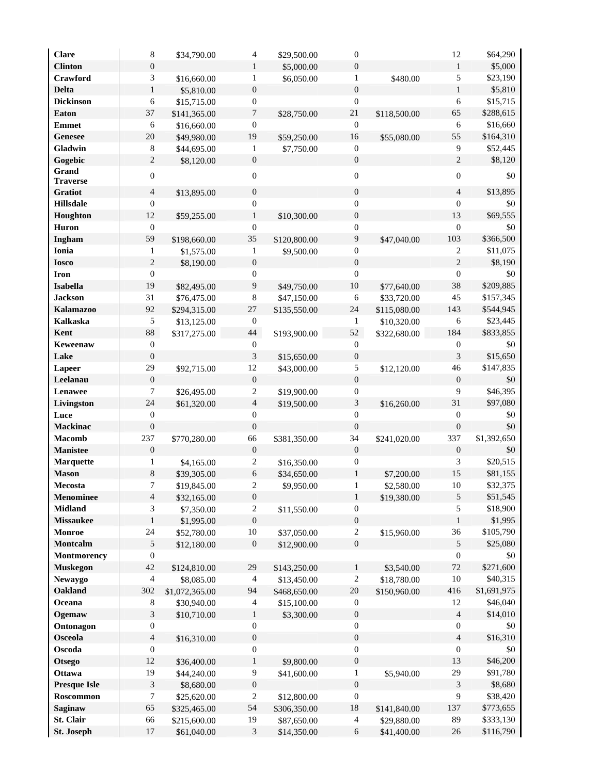| <b>Clare</b>            | $\,8\,$                     | \$34,790.00                 | $\overline{4}$                    | \$29,500.00                | $\boldsymbol{0}$    |                            | 12               | \$64,290               |
|-------------------------|-----------------------------|-----------------------------|-----------------------------------|----------------------------|---------------------|----------------------------|------------------|------------------------|
| <b>Clinton</b>          | $\boldsymbol{0}$            |                             | 1                                 | \$5,000.00                 | $\boldsymbol{0}$    |                            | $\mathbf{1}$     | \$5,000                |
| Crawford                | 3                           | \$16,660.00                 | $\mathbf{1}$                      | \$6,050.00                 | 1                   | \$480.00                   | 5                | \$23,190               |
| <b>Delta</b>            | $\mathbf{1}$                | \$5,810.00                  | $\boldsymbol{0}$                  |                            | $\mathbf{0}$        |                            | $\mathbf{1}$     | \$5,810                |
| <b>Dickinson</b>        | 6                           | \$15,715.00                 | $\boldsymbol{0}$                  |                            | $\boldsymbol{0}$    |                            | $\sqrt{6}$       | \$15,715               |
| <b>Eaton</b>            | 37                          | \$141,365.00                | 7                                 | \$28,750.00                | 21                  | \$118,500.00               | 65               | \$288,615              |
| <b>Emmet</b>            | 6                           | \$16,660.00                 | $\boldsymbol{0}$                  |                            | $\boldsymbol{0}$    |                            | $\sqrt{6}$       | \$16,660               |
| <b>Genesee</b>          | 20                          |                             | 19                                |                            | 16                  |                            | 55               | \$164,310              |
| Gladwin                 |                             | \$49,980.00                 |                                   | \$59,250.00                | $\boldsymbol{0}$    | \$55,080.00                | 9                |                        |
|                         | $\,8\,$                     | \$44,695.00                 | $\mathbf{1}$                      | \$7,750.00                 |                     |                            |                  | \$52,445               |
| Gogebic<br>Grand        | $\mathbf{2}$                | \$8,120.00                  | $\boldsymbol{0}$                  |                            | $\boldsymbol{0}$    |                            | $\overline{c}$   | \$8,120                |
| <b>Traverse</b>         | $\boldsymbol{0}$            |                             | $\boldsymbol{0}$                  |                            | $\boldsymbol{0}$    |                            | $\boldsymbol{0}$ | \$0                    |
| Gratiot                 | $\overline{4}$              | \$13,895.00                 | $\boldsymbol{0}$                  |                            | $\boldsymbol{0}$    |                            | $\overline{4}$   | \$13,895               |
| <b>Hillsdale</b>        | $\boldsymbol{0}$            |                             | $\boldsymbol{0}$                  |                            | $\boldsymbol{0}$    |                            | $\mathbf{0}$     | \$0                    |
| Houghton                | 12                          | \$59,255.00                 | $\mathbf{1}$                      | \$10,300.00                | $\boldsymbol{0}$    |                            | 13               | \$69,555               |
| Huron                   | $\boldsymbol{0}$            |                             | $\boldsymbol{0}$                  |                            | $\mathbf{0}$        |                            | $\boldsymbol{0}$ | \$0                    |
|                         | 59                          |                             |                                   |                            |                     |                            |                  |                        |
| Ingham                  |                             | \$198,660.00                | 35                                | \$120,800.00               | $\overline{9}$      | \$47,040.00                | 103              | \$366,500              |
| Ionia                   | 1                           | \$1,575.00                  | $\mathbf{1}$                      | \$9,500.00                 | $\boldsymbol{0}$    |                            | $\sqrt{2}$       | \$11,075               |
| <b>Iosco</b>            | $\sqrt{2}$                  | \$8,190.00                  | $\boldsymbol{0}$                  |                            | $\boldsymbol{0}$    |                            | $\overline{c}$   | \$8,190                |
| <b>Iron</b>             | $\boldsymbol{0}$            |                             | $\boldsymbol{0}$                  |                            | $\boldsymbol{0}$    |                            | $\boldsymbol{0}$ | \$0                    |
| Isabella                | 19                          | \$82,495.00                 | 9                                 | \$49,750.00                | $10\,$              | \$77,640.00                | 38               | \$209,885              |
| <b>Jackson</b>          | 31                          | \$76,475.00                 | $8\phantom{1}$                    | \$47,150.00                | 6                   | \$33,720.00                | 45               | \$157,345              |
| <b>Kalamazoo</b>        | 92                          | \$294,315.00                | $27\,$                            | \$135,550.00               | 24                  | \$115,080.00               | 143              | \$544,945              |
| <b>Kalkaska</b>         | 5                           | \$13,125.00                 | $\mathbf{0}$                      |                            | 1                   | \$10,320.00                | 6                | \$23,445               |
| Kent                    | 88                          | \$317,275.00                | 44                                | \$193,900.00               | 52                  | \$322,680.00               | 184              | \$833,855              |
| Keweenaw                | $\boldsymbol{0}$            |                             | $\boldsymbol{0}$                  |                            | $\boldsymbol{0}$    |                            | $\boldsymbol{0}$ | \$0                    |
| Lake                    | $\boldsymbol{0}$            |                             | 3                                 | \$15,650.00                | $\boldsymbol{0}$    |                            | 3                | \$15,650               |
| Lapeer                  | 29                          | \$92,715.00                 | 12                                | \$43,000.00                | $\sqrt{5}$          | \$12,120.00                | 46               | \$147,835              |
| Leelanau                | $\boldsymbol{0}$            |                             | $\boldsymbol{0}$                  |                            | $\boldsymbol{0}$    |                            | $\boldsymbol{0}$ | $\$0$                  |
| Lenawee                 | 7                           | \$26,495.00                 | $\overline{c}$                    | \$19,900.00                | $\boldsymbol{0}$    |                            | 9                | \$46,395               |
| Livingston              | 24                          | \$61,320.00                 | $\overline{4}$                    | \$19,500.00                | $\sqrt{3}$          | \$16,260.00                | 31               | \$97,080               |
| Luce                    | $\boldsymbol{0}$            |                             | $\boldsymbol{0}$                  |                            | $\boldsymbol{0}$    |                            | $\boldsymbol{0}$ | \$0                    |
| <b>Mackinac</b>         | $\boldsymbol{0}$            |                             | $\boldsymbol{0}$                  |                            | $\overline{0}$      |                            | $\boldsymbol{0}$ | \$0                    |
| <b>Macomb</b>           | 237                         | \$770,280.00                | 66                                | \$381,350.00               | 34                  | \$241,020.00               | 337              | \$1,392,650            |
| <b>Manistee</b>         | $\boldsymbol{0}$            |                             | $\boldsymbol{0}$                  |                            | $\boldsymbol{0}$    |                            | $\boldsymbol{0}$ | \$0                    |
| <b>Marquette</b>        | 1                           | \$4,165.00                  | $\overline{c}$                    | \$16,350.00                | $\mathbf{0}$        |                            | 3                | \$20,515               |
| <b>Mason</b>            | $\,$ 8 $\,$                 | \$39,305.00                 | $\sqrt{6}$                        | \$34,650.00                | $\mathbf{1}$        | \$7,200.00                 | 15               | \$81,155               |
| Mecosta                 | 7                           | \$19,845.00                 | $\overline{2}$                    | \$9,950.00                 | 1                   | \$2,580.00                 | 10               | \$32,375               |
| <b>Menominee</b>        | $\overline{4}$              | \$32,165.00                 | $\boldsymbol{0}$                  |                            | $\mathbf{1}$        | \$19,380.00                | 5                | \$51,545               |
| <b>Midland</b>          | 3                           | \$7,350.00                  | $\overline{c}$                    | \$11,550.00                | $\boldsymbol{0}$    |                            | 5                | \$18,900               |
| <b>Missaukee</b>        | $\mathbf{1}$                | \$1,995.00                  | $\boldsymbol{0}$                  |                            | $\boldsymbol{0}$    |                            | $\mathbf{1}$     | \$1,995                |
| Monroe                  | 24                          | \$52,780.00                 | $10\,$                            | \$37,050.00                | $\sqrt{2}$          | \$15,960.00                | 36               | \$105,790              |
| Montcalm                | $\sqrt{5}$                  | \$12,180.00                 | $\boldsymbol{0}$                  | \$12,900.00                | $\boldsymbol{0}$    |                            | 5                | \$25,080               |
| Montmorency             | $\boldsymbol{0}$            |                             |                                   |                            |                     |                            | $\boldsymbol{0}$ | \$0                    |
| <b>Muskegon</b>         | 42                          | \$124,810.00                | 29                                | \$143,250.00               | $\mathbf{1}$        | \$3,540.00                 | 72               | \$271,600              |
| <b>Newaygo</b>          | 4                           | \$8,085.00                  | $\overline{4}$                    | \$13,450.00                | $\overline{2}$      | \$18,780.00                | 10               | \$40,315               |
| Oakland                 | 302                         | \$1,072,365.00              | 94                                | \$468,650.00               | $20\,$              | \$150,960.00               | 416              | \$1,691,975            |
| Oceana                  | 8                           | \$30,940.00                 | $\overline{4}$                    | \$15,100.00                | $\boldsymbol{0}$    |                            | 12               | \$46,040               |
| Ogemaw                  | $\ensuremath{\mathfrak{Z}}$ | \$10,710.00                 | $\mathbf{1}$                      | \$3,300.00                 | $\boldsymbol{0}$    |                            | $\overline{4}$   | \$14,010               |
| Ontonagon               | $\boldsymbol{0}$            |                             | $\mathbf{0}$                      |                            | $\boldsymbol{0}$    |                            | $\boldsymbol{0}$ | \$0                    |
| Osceola                 | $\sqrt{4}$                  | \$16,310.00                 | $\boldsymbol{0}$                  |                            | $\boldsymbol{0}$    |                            | $\overline{4}$   | \$16,310               |
| Oscoda                  | $\boldsymbol{0}$            |                             | $\boldsymbol{0}$                  |                            | $\boldsymbol{0}$    |                            | $\boldsymbol{0}$ | $\$0$                  |
|                         |                             |                             |                                   |                            |                     |                            |                  |                        |
| <b>Otsego</b>           | 12                          | \$36,400.00                 | $\mathbf{1}$                      | \$9,800.00                 | $\boldsymbol{0}$    |                            | 13               | \$46,200               |
| Ottawa                  | 19                          | \$44,240.00                 | $\overline{9}$                    | \$41,600.00                | $\mathbf{1}$        | \$5,940.00                 | 29               | \$91,780               |
| <b>Presque Isle</b>     | $\sqrt{3}$                  | \$8,680.00                  | $\boldsymbol{0}$                  |                            | $\boldsymbol{0}$    |                            | 3                | \$8,680                |
| Roscommon               | 7                           | \$25,620.00                 | $\overline{2}$                    | \$12,800.00                | $\boldsymbol{0}$    |                            | 9                | \$38,420               |
| Saginaw                 | 65                          | \$325,465.00                | 54                                | \$306,350.00               | 18                  | \$141,840.00               | 137              | \$773,655              |
|                         |                             |                             |                                   |                            |                     |                            |                  |                        |
| St. Clair<br>St. Joseph | 66<br>$17\,$                | \$215,600.00<br>\$61,040.00 | 19<br>$\ensuremath{\mathfrak{Z}}$ | \$87,650.00<br>\$14,350.00 | $\overline{4}$<br>6 | \$29,880.00<br>\$41,400.00 | 89<br>26         | \$333,130<br>\$116,790 |